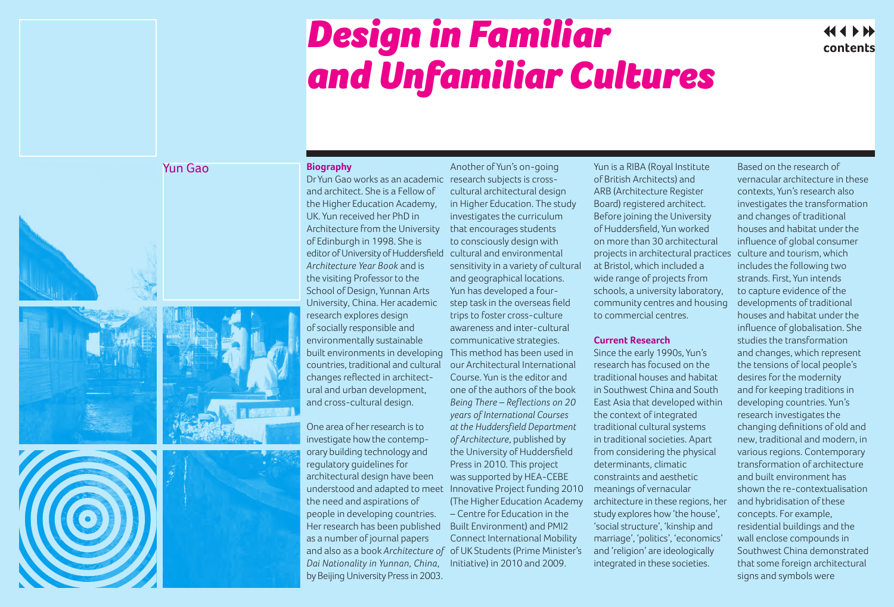## *Design in Familiar and Unfamiliar Cultures*

 $44$  4  $\rightarrow$   $\rightarrow$ contents

## Yun Gao







## **Biography**

and architect. She is a Fellow of the Higher Education Academy, UK. Yun received her PhD in Architecture from the University of Edinburgh in 1998. She is editor of University of Huddersfield cultural and environmental *Architecture Year Book* and is the visiting Professor to the School of Design, Yunnan Arts University, China. Her academic research explores design of socially responsible and environmentally sustainable built environments in developing countries, traditional and cultural changes reflected in architectural and urban development, and cross-cultural design.

One area of her research is to investigate how the contemporary building technology and regulatory guidelines for architectural design have been understood and adapted to meet Innovative Project funding 2010 the need and aspirations of people in developing countries. Her research has been published as a number of journal papers and also as a book *Architecture of*  of UK Students (Prime Minister's *Dai Nationality in Yunnan, China*, Initiative) in 2010 and 2009. by Beijing University Press in 2003.

Dr Yun Gao works as an academic research subjects is cross-Another of Yun's on-going cultural architectural design in Higher Education. The study investigates the curriculum that encourages students to consciously design with sensitivity in a variety of cultural and geographical locations. Yun has developed a fourstep task in the overseas field trips to foster cross-culture awareness and inter-cultural communicative strategies. This method has been used in our Architectural International Course. Yun is the editor and one of the authors of the book *Being There – Reflections on 20 years of International Courses at the Huddersfield Department of Architecture*, published by the University of Huddersfield Press in 2010. This project was supported by HEA-CEBE (The Higher Education Academy – Centre for Education in the Built Environment) and PMI2 Connect International Mobility

Yun is a RIBA (Royal Institute of British Architects) and ARB (Architecture Register Board) registered architect. Before joining the University of Huddersfield, Yun worked on more than 30 architectural projects in architectural practices at Bristol, which included a wide range of projects from schools, a university laboratory, community centres and housing to commercial centres.

## **Current Research**

Since the early 1990s, Yun's research has focused on the traditional houses and habitat in Southwest China and South East Asia that developed within the context of integrated traditional cultural systems in traditional societies. Apart from considering the physical determinants, climatic constraints and aesthetic meanings of vernacular architecture in these regions, her study explores how 'the house', 'social structure', 'kinship and marriage', 'politics', 'economics' and 'religion' are ideologically integrated in these societies.

Based on the research of vernacular architecture in these contexts, Yun's research also investigates the transformation and changes of traditional houses and habitat under the influence of global consumer culture and tourism, which includes the following two strands. First, Yun intends to capture evidence of the developments of traditional houses and habitat under the influence of globalisation. She studies the transformation and changes, which represent the tensions of local people's desires for the modernity and for keeping traditions in developing countries. Yun's research investigates the changing definitions of old and new, traditional and modern, in various regions. Contemporary transformation of architecture and built environment has shown the re-contextualisation and hybridisation of these concepts. For example, residential buildings and the wall enclose compounds in Southwest China demonstrated that some foreign architectural signs and symbols were